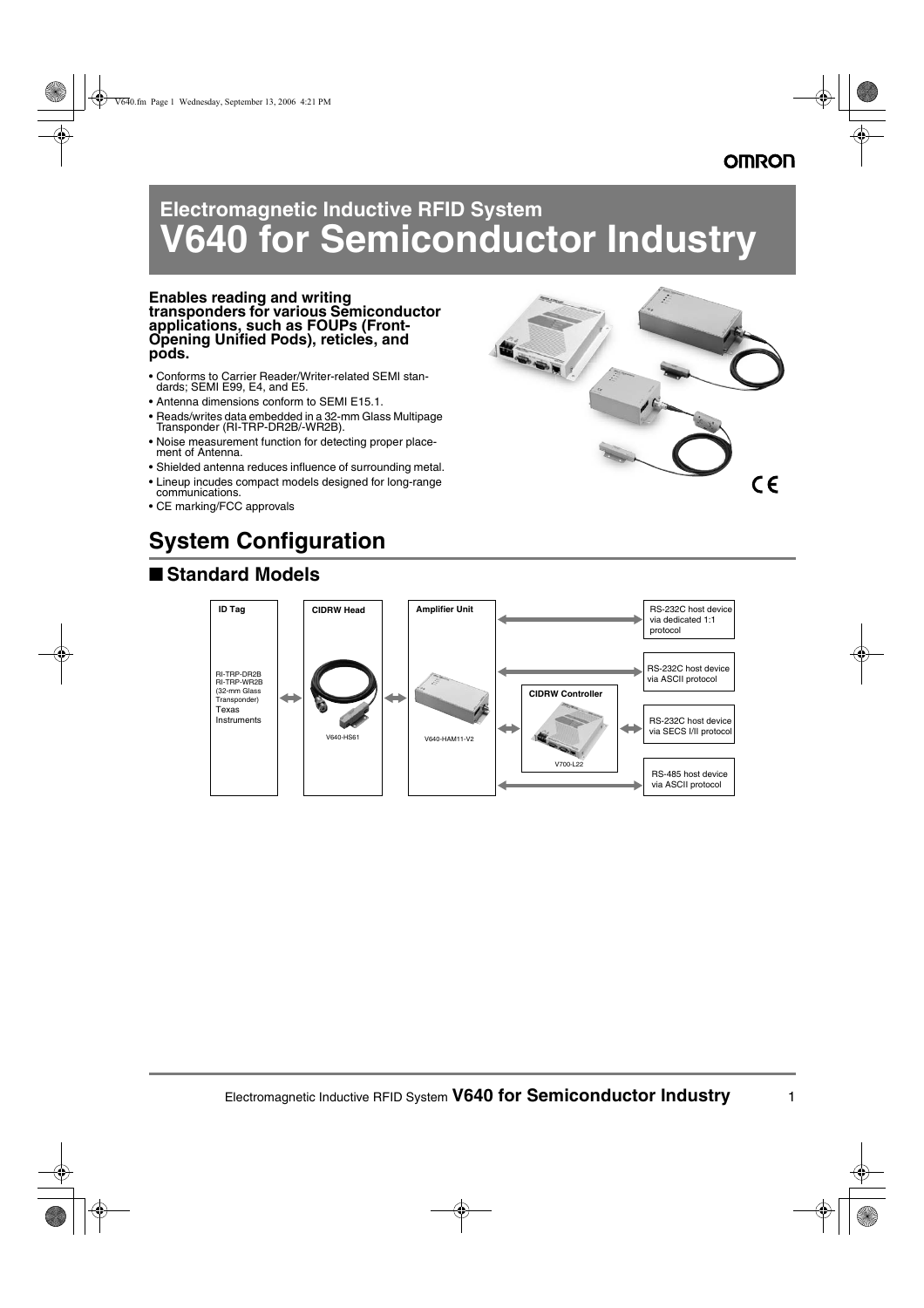# **Electromagnetic Inductive RFID System V640 for Semiconductor Industry**

### **Enables reading and writing transponders for various Semiconductor applications, such as FOUPs (Front-Opening Unified Pods), reticles, and pods.**

- Conforms to Carrier Reader/Writer-related SEMI standards; SEMI E99, E4, and E5.
- Antenna dimensions conform to SEMI E15.1.
- Reads/writes data embedded in a 32-mm Glass Multipage Transponder (RI-TRP-DR2B/-WR2B).
- Noise measurement function for detecting proper placement of Antenna.
- Shielded antenna reduces influence of surrounding metal.
- Lineup incudes compact models designed for long-range communications.
- CE marking/FCC approvals

# **System Configuration**

## ■ **Standard Models**



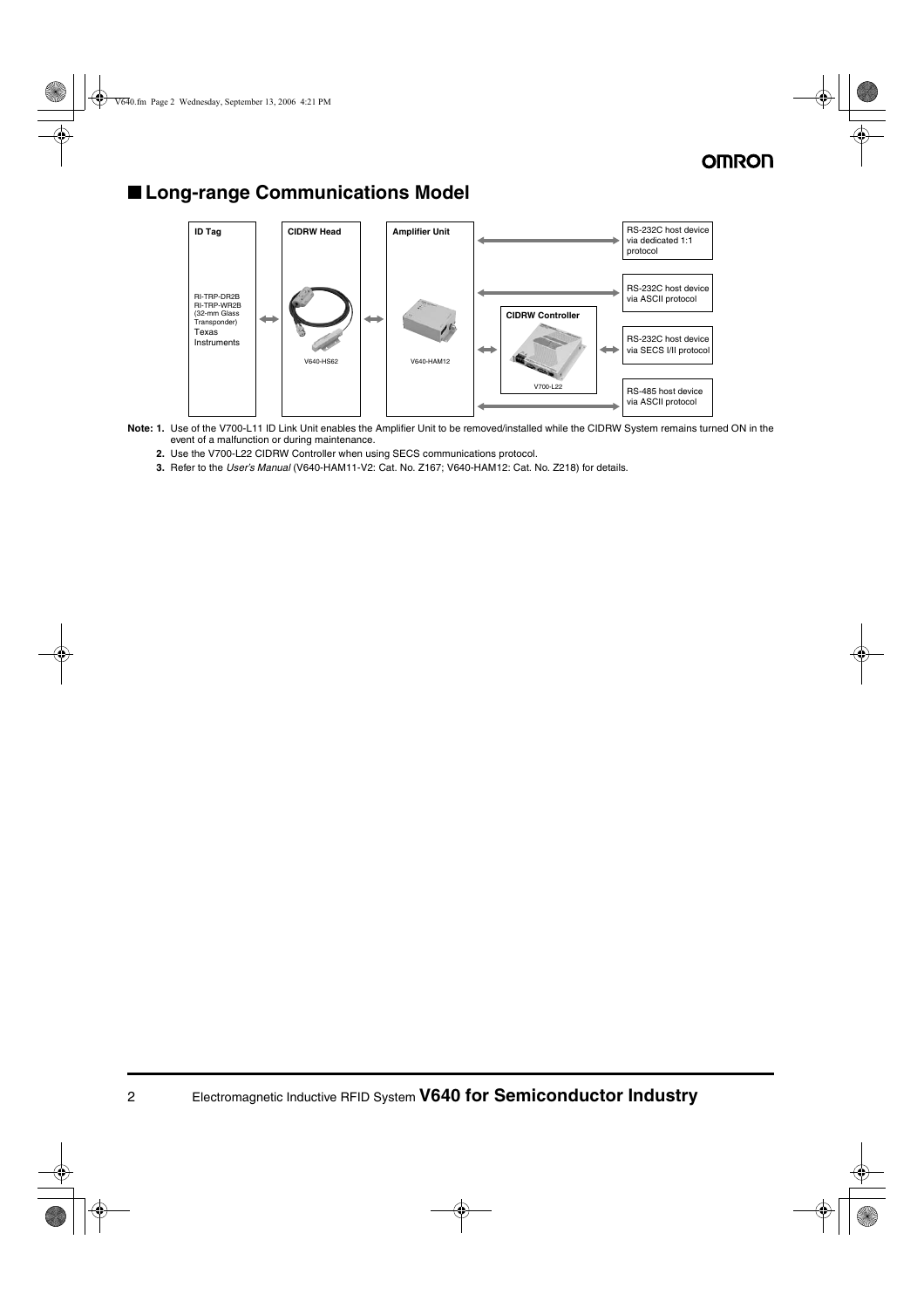## ■ **Long-range Communications Model**



- **Note: 1.** Use of the V700-L11 ID Link Unit enables the Amplifier Unit to be removed/installed while the CIDRW System remains turned ON in the event of a malfunction or during maintenance.
	- **2.** Use the V700-L22 CIDRW Controller when using SECS communications protocol.
	- **3.** Refer to the *User's Manual* (V640-HAM11-V2: Cat. No. Z167; V640-HAM12: Cat. No. Z218) for details.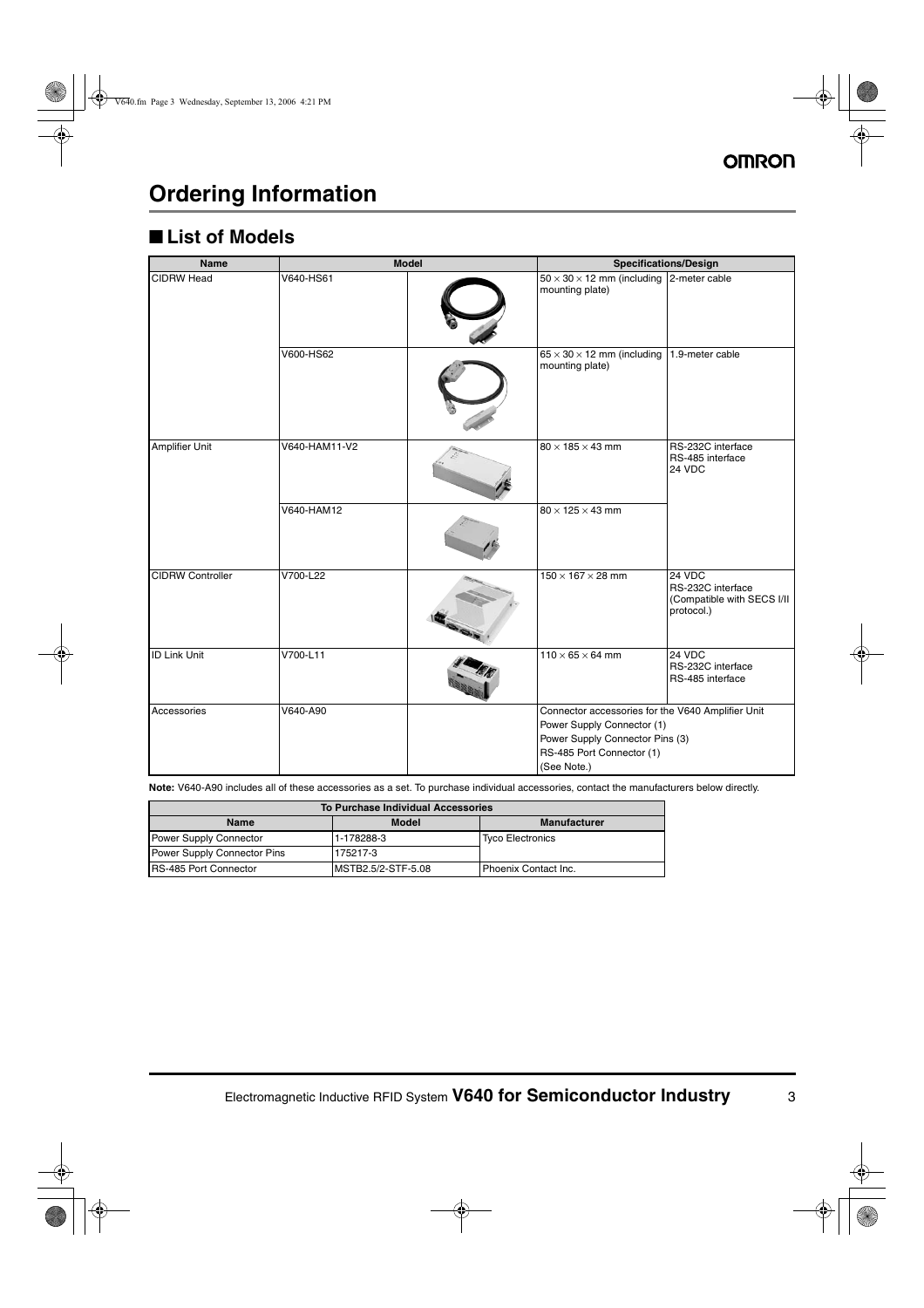# **Ordering Information**

## ■ **List of Models**

| <b>Name</b>             |               | <b>Model</b> |                                                                                                                                                                | <b>Specifications/Design</b>                                              |
|-------------------------|---------------|--------------|----------------------------------------------------------------------------------------------------------------------------------------------------------------|---------------------------------------------------------------------------|
| <b>CIDRW Head</b>       | V640-HS61     |              | $50 \times 30 \times 12$ mm (including<br>mounting plate)                                                                                                      | 2-meter cable                                                             |
|                         | V600-HS62     |              | $65 \times 30 \times 12$ mm (including<br>mounting plate)                                                                                                      | 1.9-meter cable                                                           |
| <b>Amplifier Unit</b>   | V640-HAM11-V2 |              | $80 \times 185 \times 43$ mm                                                                                                                                   | RS-232C interface<br>RS-485 interface<br>24 VDC                           |
|                         | V640-HAM12    |              | $80 \times 125 \times 43$ mm                                                                                                                                   |                                                                           |
| <b>CIDRW Controller</b> | V700-L22      |              | $150 \times 167 \times 28$ mm                                                                                                                                  | $24$ VDC<br>RS-232C interface<br>(Compatible with SECS I/II<br>protocol.) |
| <b>ID Link Unit</b>     | V700-L11      |              | $110 \times 65 \times 64$ mm                                                                                                                                   | 24 VDC<br>RS-232C interface<br>RS-485 interface                           |
| Accessories             | V640-A90      |              | Connector accessories for the V640 Amplifier Unit<br>Power Supply Connector (1)<br>Power Supply Connector Pins (3)<br>RS-485 Port Connector (1)<br>(See Note.) |                                                                           |

**Note:** V640-A90 includes all of these accessories as a set. To purchase individual accessories, contact the manufacturers below directly.

| <b>To Purchase Individual Accessories</b> |                    |                         |  |
|-------------------------------------------|--------------------|-------------------------|--|
| <b>Name</b>                               | <b>Model</b>       | <b>Manufacturer</b>     |  |
| <b>Power Supply Connector</b>             | 1-178288-3         | <b>Tyco Electronics</b> |  |
| <b>Power Supply Connector Pins</b>        | 175217-3           |                         |  |
| <b>IRS-485 Port Connector</b>             | MSTB2.5/2-STF-5.08 | l Phoenix Contact Inc.  |  |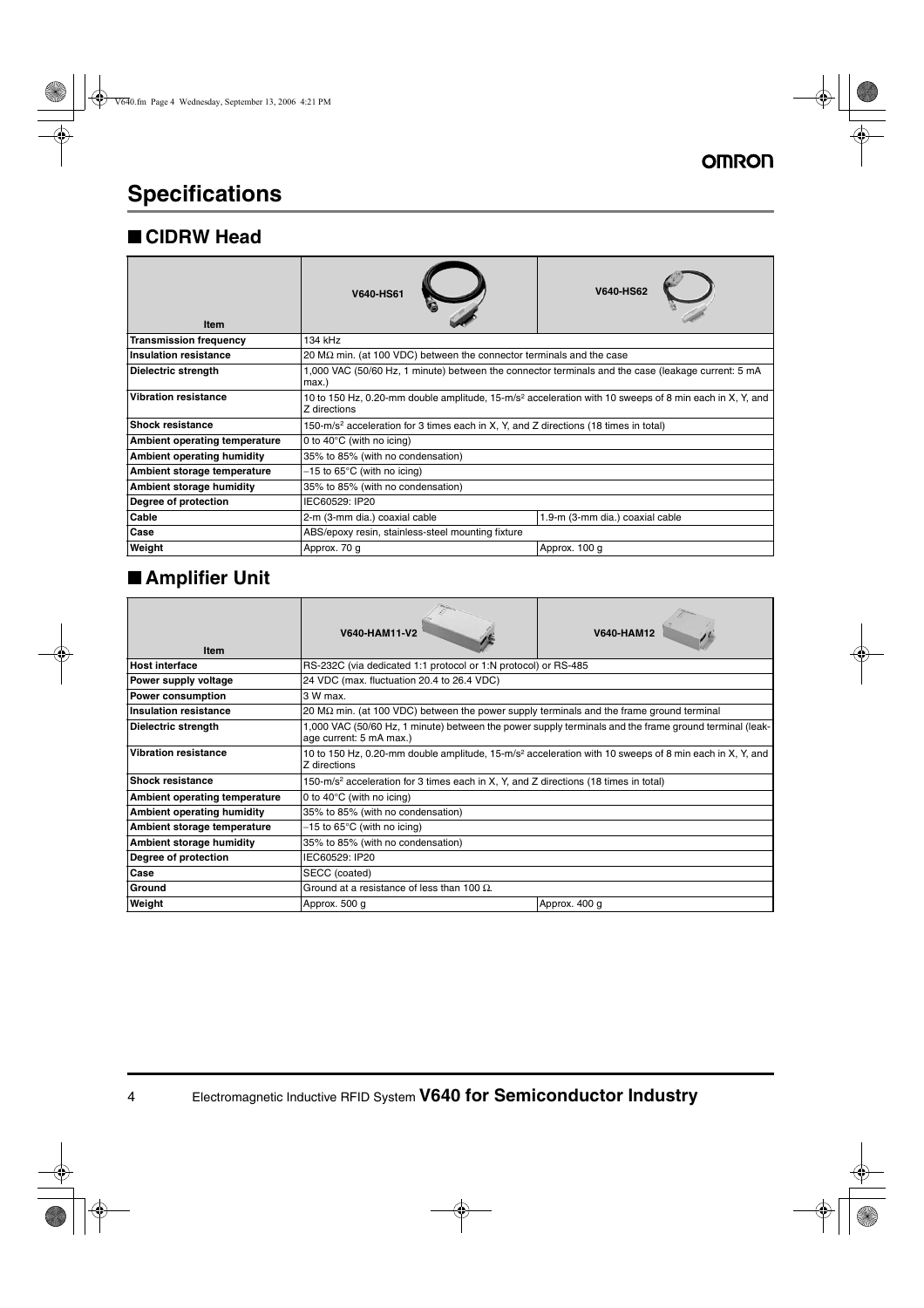# **Specifications**

### ■ **CIDRW Head**

| <b>Item</b>                     | <b>V640-HS61</b>                                                                                                                   | <b>V640-HS62</b>                |
|---------------------------------|------------------------------------------------------------------------------------------------------------------------------------|---------------------------------|
| <b>Transmission frequency</b>   | 134 kHz                                                                                                                            |                                 |
| <b>Insulation resistance</b>    | 20 $\text{M}\Omega$ min. (at 100 VDC) between the connector terminals and the case                                                 |                                 |
| Dielectric strength             | 1,000 VAC (50/60 Hz, 1 minute) between the connector terminals and the case (leakage current: 5 mA<br>max.)                        |                                 |
| <b>Vibration resistance</b>     | 10 to 150 Hz, 0.20-mm double amplitude, 15-m/s <sup>2</sup> acceleration with 10 sweeps of 8 min each in X, Y, and<br>7 directions |                                 |
| <b>Shock resistance</b>         | 150-m/s <sup>2</sup> acceleration for 3 times each in X, Y, and Z directions (18 times in total)                                   |                                 |
| Ambient operating temperature   | 0 to $40^{\circ}$ C (with no icing)                                                                                                |                                 |
| Ambient operating humidity      | 35% to 85% (with no condensation)                                                                                                  |                                 |
| Ambient storage temperature     | $-15$ to 65°C (with no icing)                                                                                                      |                                 |
| <b>Ambient storage humidity</b> | 35% to 85% (with no condensation)                                                                                                  |                                 |
| Degree of protection            | IEC60529: IP20                                                                                                                     |                                 |
| Cable                           | 2-m (3-mm dia.) coaxial cable                                                                                                      | 1.9-m (3-mm dia.) coaxial cable |
| Case                            | ABS/epoxy resin, stainless-steel mounting fixture                                                                                  |                                 |
| Weight                          | Approx. 70 g                                                                                                                       | Approx. 100 g                   |

## ■ **Amplifier Unit**

| <b>Item</b>                          | V640-HAM11-V2                                                                                                                      | <b>V640-HAM12</b> |  |
|--------------------------------------|------------------------------------------------------------------------------------------------------------------------------------|-------------------|--|
| <b>Host interface</b>                | RS-232C (via dedicated 1:1 protocol or 1:N protocol) or RS-485                                                                     |                   |  |
| Power supply voltage                 | 24 VDC (max. fluctuation 20.4 to 26.4 VDC)                                                                                         |                   |  |
| <b>Power consumption</b>             | 3 W max.                                                                                                                           |                   |  |
| <b>Insulation resistance</b>         | 20 M $\Omega$ min. (at 100 VDC) between the power supply terminals and the frame ground terminal                                   |                   |  |
| <b>Dielectric strength</b>           | 1,000 VAC (50/60 Hz, 1 minute) between the power supply terminals and the frame ground terminal (leak-<br>age current: 5 mA max.)  |                   |  |
| <b>Vibration resistance</b>          | 10 to 150 Hz, 0.20-mm double amplitude, 15-m/s <sup>2</sup> acceleration with 10 sweeps of 8 min each in X, Y, and<br>Z directions |                   |  |
| <b>Shock resistance</b>              | 150-m/s <sup>2</sup> acceleration for 3 times each in X, Y, and Z directions (18 times in total)                                   |                   |  |
| <b>Ambient operating temperature</b> | 0 to 40 $\degree$ C (with no icing)                                                                                                |                   |  |
| <b>Ambient operating humidity</b>    | 35% to 85% (with no condensation)                                                                                                  |                   |  |
| Ambient storage temperature          | $-15$ to 65°C (with no icing)                                                                                                      |                   |  |
| <b>Ambient storage humidity</b>      | 35% to 85% (with no condensation)                                                                                                  |                   |  |
| Degree of protection                 | IEC60529: IP20                                                                                                                     |                   |  |
| Case                                 | SECC (coated)                                                                                                                      |                   |  |
| Ground                               | Ground at a resistance of less than 100 $\Omega$ .                                                                                 |                   |  |
| Weight                               | Approx. 500 g<br>Approx. 400 g                                                                                                     |                   |  |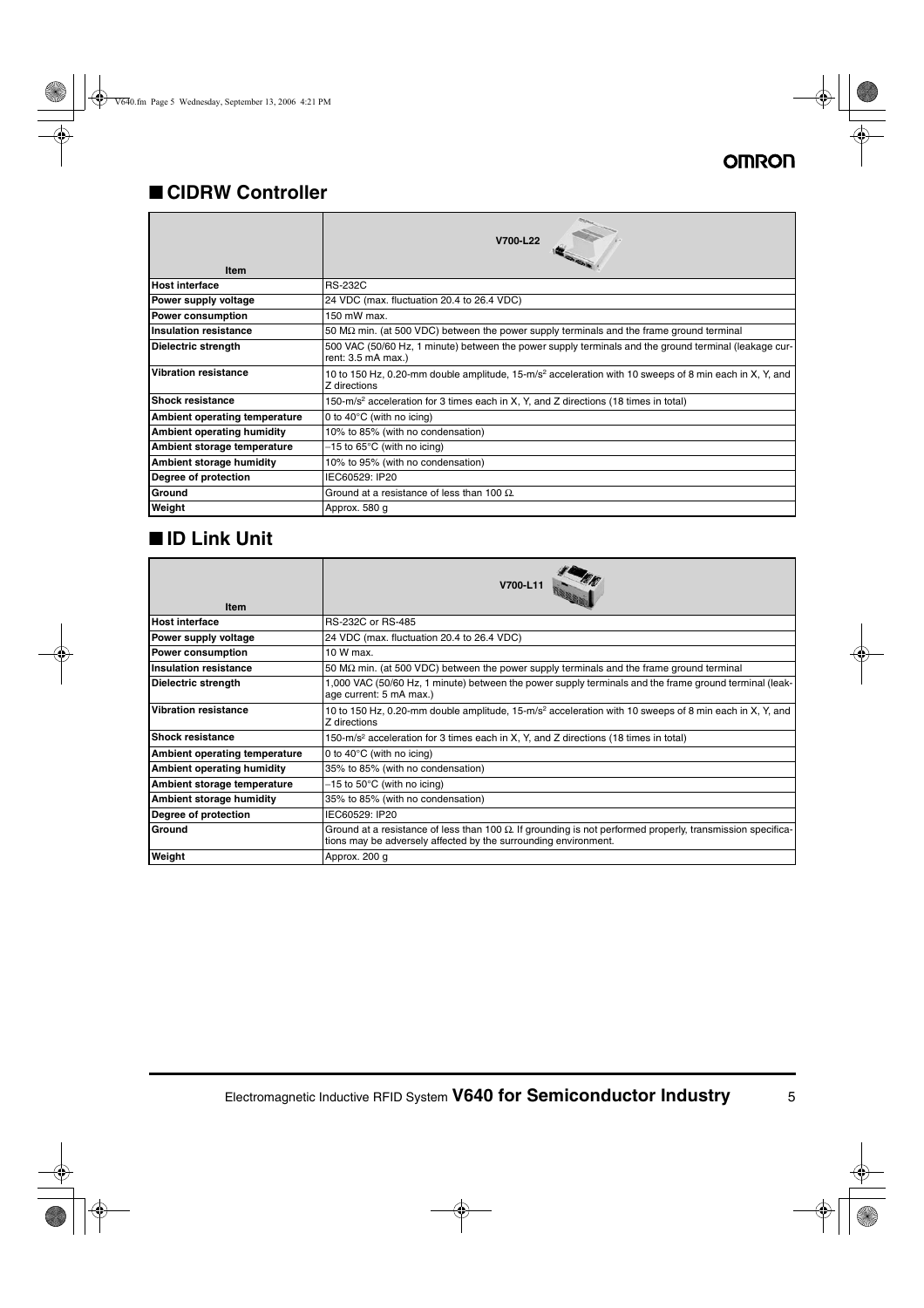## ■ **CIDRW Controller**

| <b>Item</b>                   | V700-L22                                                                                                                           |
|-------------------------------|------------------------------------------------------------------------------------------------------------------------------------|
| <b>Host interface</b>         | <b>RS-232C</b>                                                                                                                     |
| Power supply voltage          | 24 VDC (max. fluctuation 20.4 to 26.4 VDC)                                                                                         |
| <b>Power consumption</b>      | 150 mW max.                                                                                                                        |
| Insulation resistance         | 50 M $\Omega$ min. (at 500 VDC) between the power supply terminals and the frame ground terminal                                   |
| Dielectric strength           | 500 VAC (50/60 Hz, 1 minute) between the power supply terminals and the ground terminal (leakage cur-<br>rent: 3.5 mA max.)        |
| <b>Vibration resistance</b>   | 10 to 150 Hz, 0.20-mm double amplitude, 15-m/s <sup>2</sup> acceleration with 10 sweeps of 8 min each in X, Y, and<br>Z directions |
| <b>Shock resistance</b>       | 150-m/s <sup>2</sup> acceleration for 3 times each in X, Y, and Z directions (18 times in total)                                   |
| Ambient operating temperature | 0 to 40 $\degree$ C (with no icing)                                                                                                |
| Ambient operating humidity    | 10% to 85% (with no condensation)                                                                                                  |
| Ambient storage temperature   | $-15$ to 65°C (with no icing)                                                                                                      |
| Ambient storage humidity      | 10% to 95% (with no condensation)                                                                                                  |
| Degree of protection          | IEC60529: IP20                                                                                                                     |
| Ground                        | Ground at a resistance of less than 100 $\Omega$ .                                                                                 |
| Weight                        | Approx. 580 g                                                                                                                      |

## ■ **ID Link Unit**

| <b>Item</b>                          | V700-L11                                                                                                                                                                              |  |
|--------------------------------------|---------------------------------------------------------------------------------------------------------------------------------------------------------------------------------------|--|
| <b>Host interface</b>                | RS-232C or RS-485                                                                                                                                                                     |  |
| Power supply voltage                 | 24 VDC (max. fluctuation 20.4 to 26.4 VDC)                                                                                                                                            |  |
| <b>Power consumption</b>             | 10 W max.                                                                                                                                                                             |  |
| <b>Insulation resistance</b>         | 50 M $\Omega$ min. (at 500 VDC) between the power supply terminals and the frame ground terminal                                                                                      |  |
| Dielectric strength                  | 1,000 VAC (50/60 Hz, 1 minute) between the power supply terminals and the frame ground terminal (leak-<br>age current: 5 mA max.)                                                     |  |
| <b>Vibration resistance</b>          | 10 to 150 Hz, 0.20-mm double amplitude, 15-m/s <sup>2</sup> acceleration with 10 sweeps of 8 min each in X, Y, and<br>Z directions                                                    |  |
| <b>Shock resistance</b>              | 150-m/s <sup>2</sup> acceleration for 3 times each in X, Y, and Z directions (18 times in total)                                                                                      |  |
| <b>Ambient operating temperature</b> | 0 to $40^{\circ}$ C (with no icing)                                                                                                                                                   |  |
| <b>Ambient operating humidity</b>    | 35% to 85% (with no condensation)                                                                                                                                                     |  |
| Ambient storage temperature          | $-15$ to 50°C (with no icing)                                                                                                                                                         |  |
| Ambient storage humidity             | 35% to 85% (with no condensation)                                                                                                                                                     |  |
| Degree of protection                 | IEC60529: IP20                                                                                                                                                                        |  |
| Ground                               | Ground at a resistance of less than 100 $\Omega$ . If grounding is not performed properly, transmission specifica-<br>tions may be adversely affected by the surrounding environment. |  |
| Weight                               | Approx. 200 g                                                                                                                                                                         |  |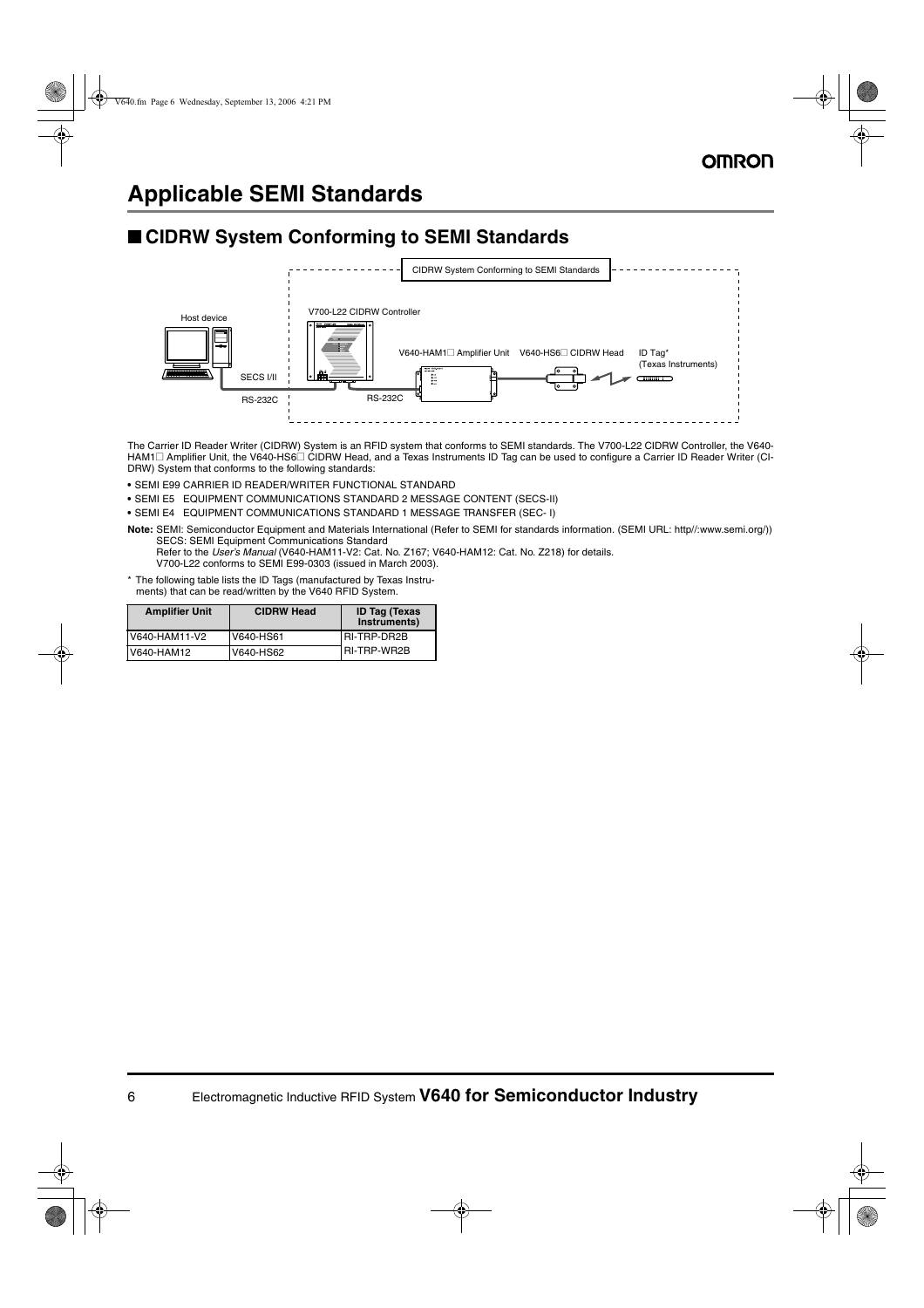## **Applicable SEMI Standards**

### ■ CIDRW System Conforming to SEMI Standards



The Carrier ID Reader Writer (CIDRW) System is an RFID system that conforms to SEMI standards. The V700-L22 CIDRW Controller, the V640- HAM1@ Amplifier Unit, the V640-HS6@ CIDRW Head, and a Texas Instruments ID Tag can be used to configure a Carrier ID Reader Writer (CI-DRW) System that conforms to the following standards:

- **•** SEMI E99 CARRIER ID READER/WRITER FUNCTIONAL STANDARD
- **•** SEMI E5 EQUIPMENT COMMUNICATIONS STANDARD 2 MESSAGE CONTENT (SECS-II)
- **•** SEMI E4 EQUIPMENT COMMUNICATIONS STANDARD 1 MESSAGE TRANSFER (SEC- I)

**Note:** SEMI: Semiconductor Equipment and Materials International (Refer to SEMI for standards information. (SEMI URL: http//:www.semi.org/)) SECS: SEMI Equipment Communications Standard

Refer to the *User's Manual* (V640-HAM11-V2: Cat. No. Z167; V640-HAM12: Cat. No. Z218) for details. V700-L22 conforms to SEMI E99-0303 (issued in March 2003).

\* The following table lists the ID Tags (manufactured by Texas Instruments) that can be read/written by the V640 RFID System.

| <b>Amplifier Unit</b> | <b>CIDRW Head</b> | <b>ID Tag (Texas</b><br>Instruments) |
|-----------------------|-------------------|--------------------------------------|
| V640-HAM11-V2         | V640-HS61         | IRI-TRP-DR2B                         |
| V640-HAM12            | V640-HS62         | I RI-TRP-WR2B                        |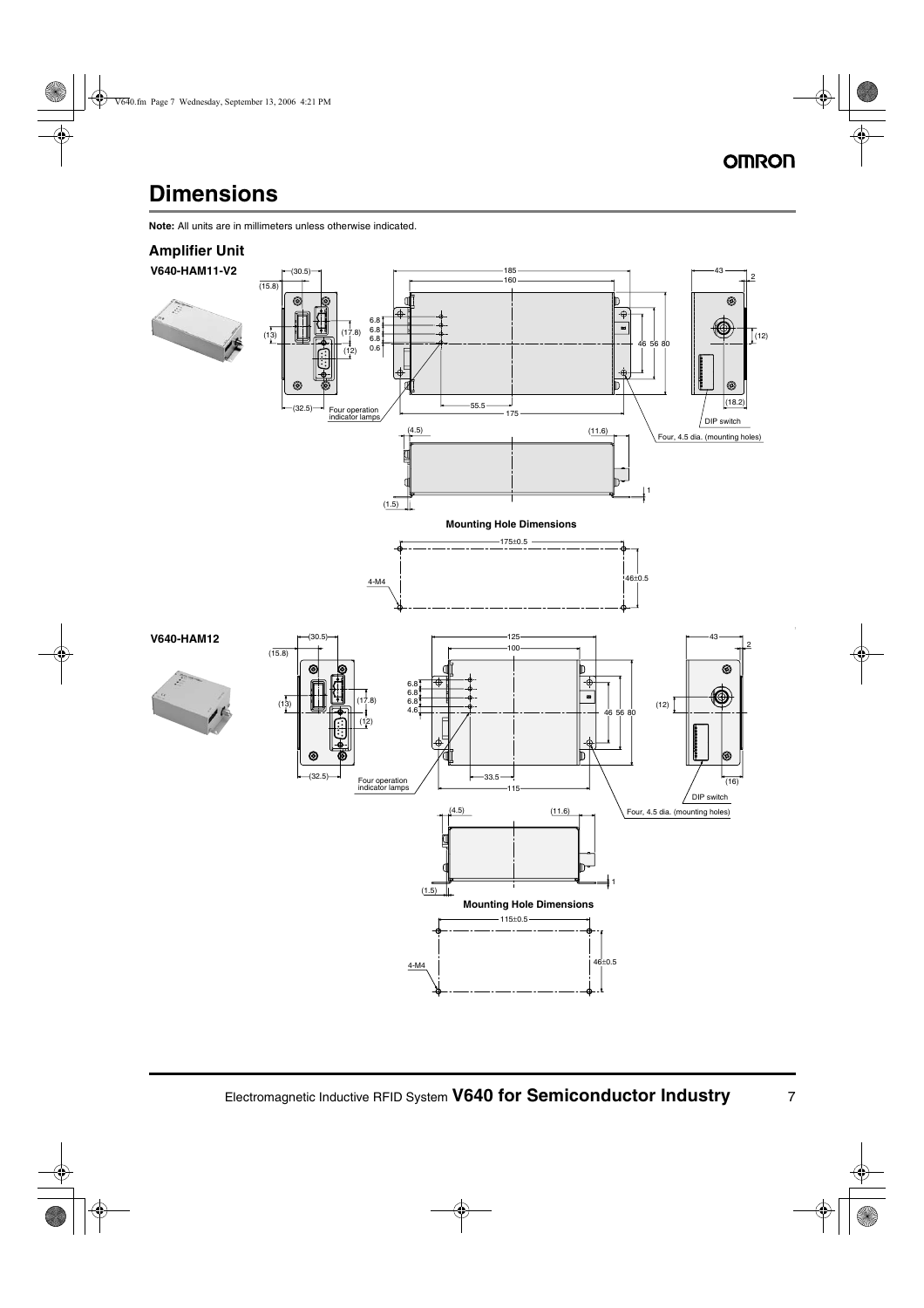# **Dimensions**

**Note:** All units are in millimeters unless otherwise indicated.

#### **Amplifier Unit**

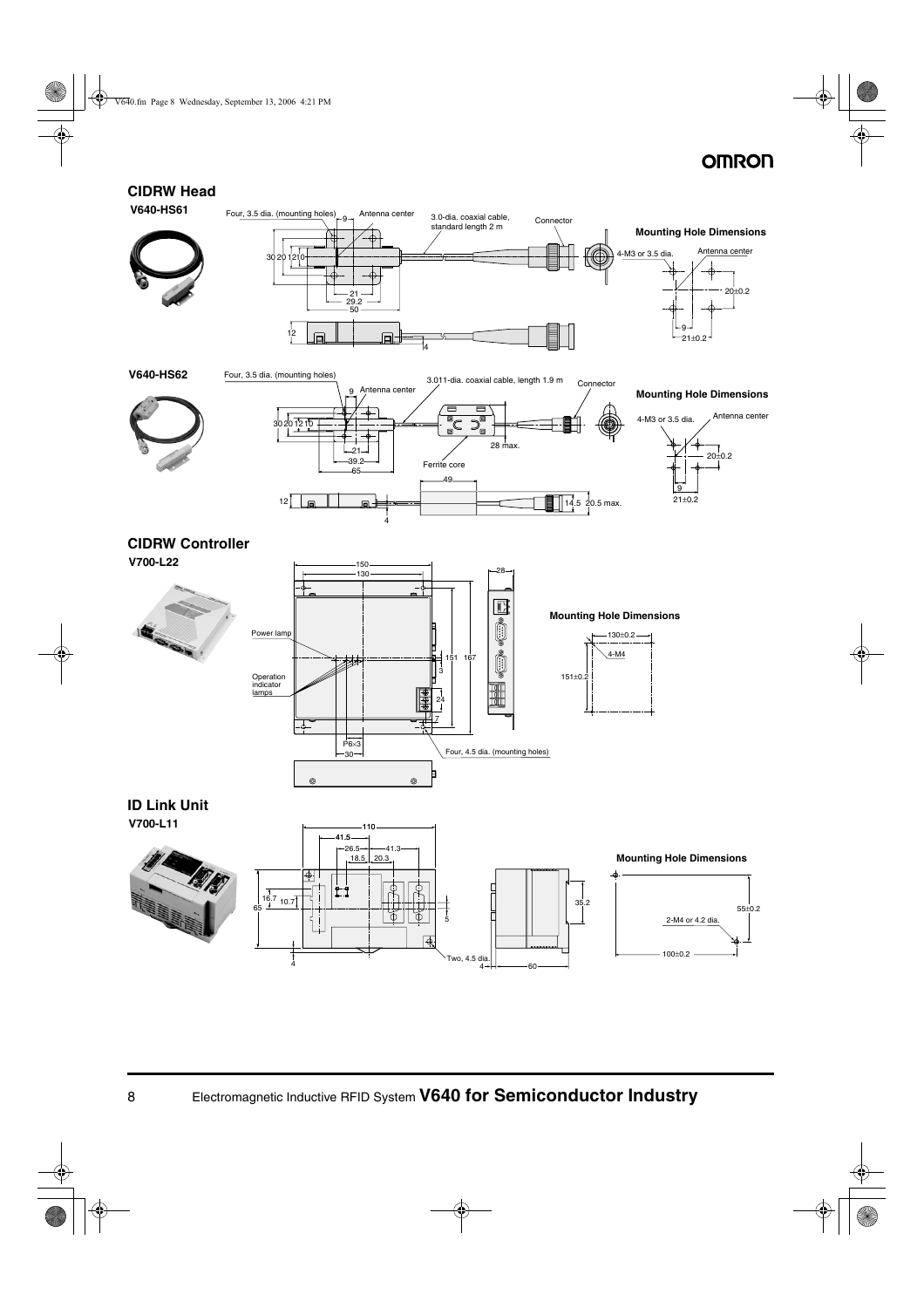### **CIDRW Head**



8 Electromagnetic Inductive RFID System **V640 for Semiconductor Industry**